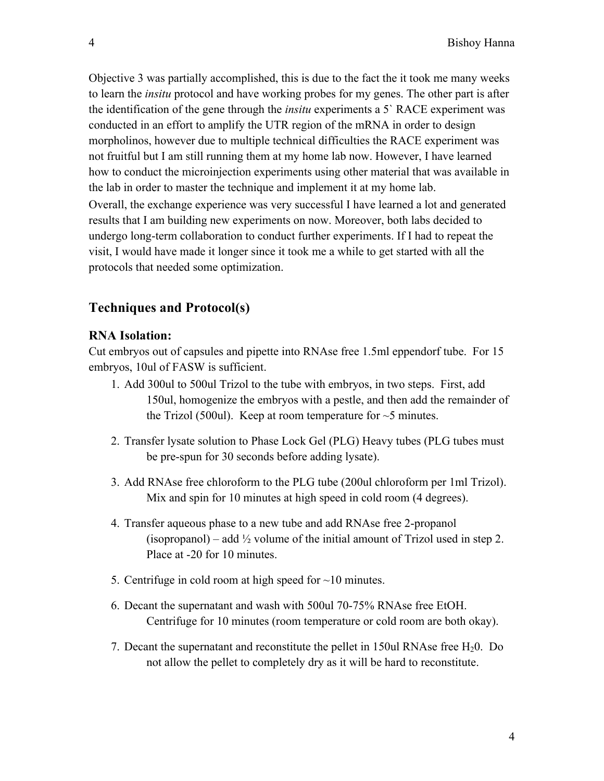# **Techniques and Protocol(s)**

# **RNA Isolation:**

Cut embryos out of capsules and pipette into RNAse free 1.5ml eppendorf tube. For 15 embryos, 10ul of FASW is sufficient.

- 1. Add 300ul to 500ul Trizol to the tube with embryos, in two steps. First, add 150ul, homogenize the embryos with a pestle, and then add the remainder of the Trizol (500ul). Keep at room temperature for  $\sim$  5 minutes.
- 2. Transfer lysate solution to Phase Lock Gel (PLG) Heavy tubes (PLG tubes must be pre-spun for 30 seconds before adding lysate).
- 3. Add RNAse free chloroform to the PLG tube (200ul chloroform per 1ml Trizol). Mix and spin for 10 minutes at high speed in cold room (4 degrees).
- 4. Transfer aqueous phase to a new tube and add RNAse free 2-propanol (isopropanol) – add  $\frac{1}{2}$  volume of the initial amount of Trizol used in step 2. Place at -20 for 10 minutes.
- 5. Centrifuge in cold room at high speed for  $\sim$ 10 minutes.
- 6. Decant the supernatant and wash with 500ul 70-75% RNAse free EtOH. Centrifuge for 10 minutes (room temperature or cold room are both okay).
- 7. Decant the supernatant and reconstitute the pellet in 150ul RNAse free  $H_2$ 0. Do not allow the pellet to completely dry as it will be hard to reconstitute.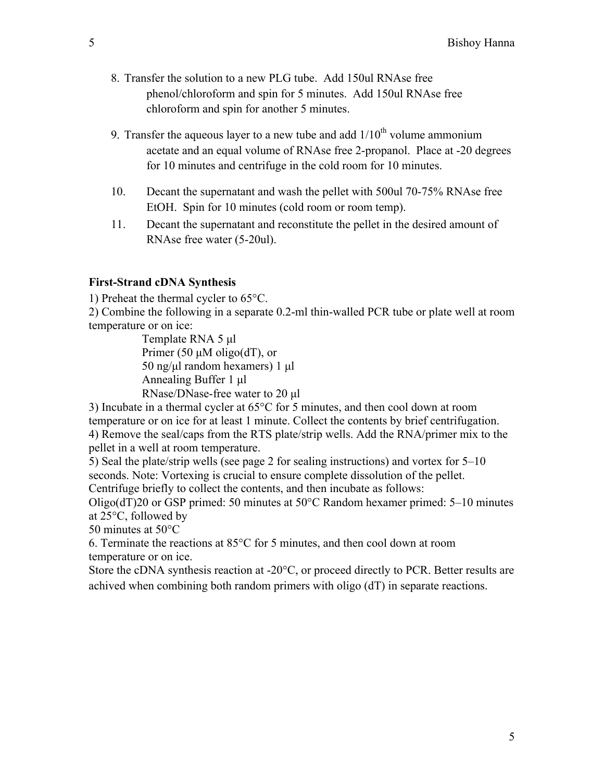- 8. Transfer the solution to a new PLG tube. Add 150ul RNAse free phenol/chloroform and spin for 5 minutes. Add 150ul RNAse free chloroform and spin for another 5 minutes.
- 9. Transfer the aqueous layer to a new tube and add  $1/10<sup>th</sup>$  volume ammonium acetate and an equal volume of RNAse free 2-propanol. Place at -20 degrees for 10 minutes and centrifuge in the cold room for 10 minutes.
- 10. Decant the supernatant and wash the pellet with 500ul 70-75% RNAse free EtOH. Spin for 10 minutes (cold room or room temp).
- 11. Decant the supernatant and reconstitute the pellet in the desired amount of RNAse free water (5-20ul).

#### **First-Strand cDNA Synthesis**

1) Preheat the thermal cycler to 65°C.

2) Combine the following in a separate 0.2-ml thin-walled PCR tube or plate well at room temperature or on ice:

> Template RNA 5 µl Primer (50  $\mu$ M oligo(dT), or 50 ng/µl random hexamers) 1 µl Annealing Buffer 1 µl RNase/DNase-free water to 20 µl

3) Incubate in a thermal cycler at 65°C for 5 minutes, and then cool down at room temperature or on ice for at least 1 minute. Collect the contents by brief centrifugation. 4) Remove the seal/caps from the RTS plate/strip wells. Add the RNA/primer mix to the pellet in a well at room temperature.

5) Seal the plate/strip wells (see page 2 for sealing instructions) and vortex for 5–10 seconds. Note: Vortexing is crucial to ensure complete dissolution of the pellet. Centrifuge briefly to collect the contents, and then incubate as follows:

Oligo(dT)20 or GSP primed: 50 minutes at 50°C Random hexamer primed: 5–10 minutes at 25°C, followed by

50 minutes at 50°C

6. Terminate the reactions at 85°C for 5 minutes, and then cool down at room temperature or on ice.

Store the cDNA synthesis reaction at -20°C, or proceed directly to PCR. Better results are achived when combining both random primers with oligo (dT) in separate reactions.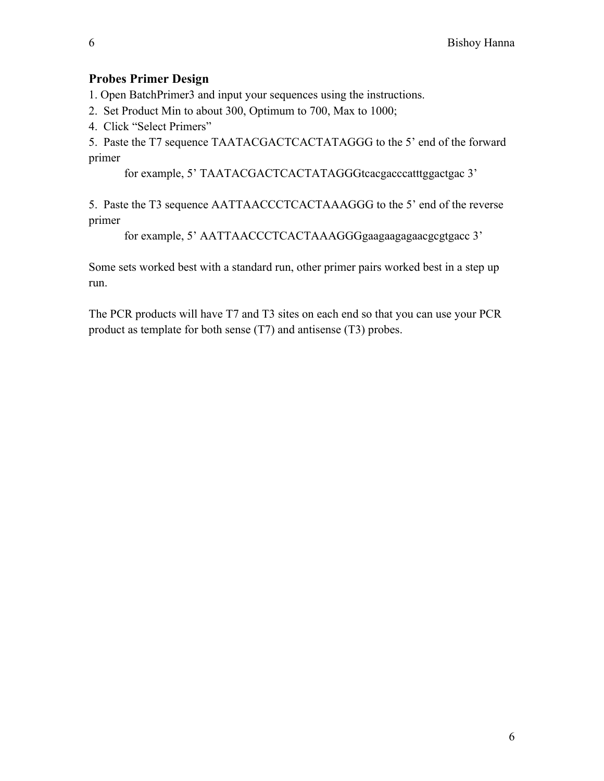#### **Probes Primer Design**

1. Open BatchPrimer3 and input your sequences using the instructions.

- 2. Set Product Min to about 300, Optimum to 700, Max to 1000;
- 4. Click "Select Primers"

5. Paste the T7 sequence TAATACGACTCACTATAGGG to the 5' end of the forward primer

for example, 5' TAATACGACTCACTATAGGGtcacgacccatttggactgac 3'

5. Paste the T3 sequence AATTAACCCTCACTAAAGGG to the 5' end of the reverse primer

for example, 5' AATTAACCCTCACTAAAGGGgaagaagagaacgcgtgacc 3'

Some sets worked best with a standard run, other primer pairs worked best in a step up run.

The PCR products will have T7 and T3 sites on each end so that you can use your PCR product as template for both sense (T7) and antisense (T3) probes.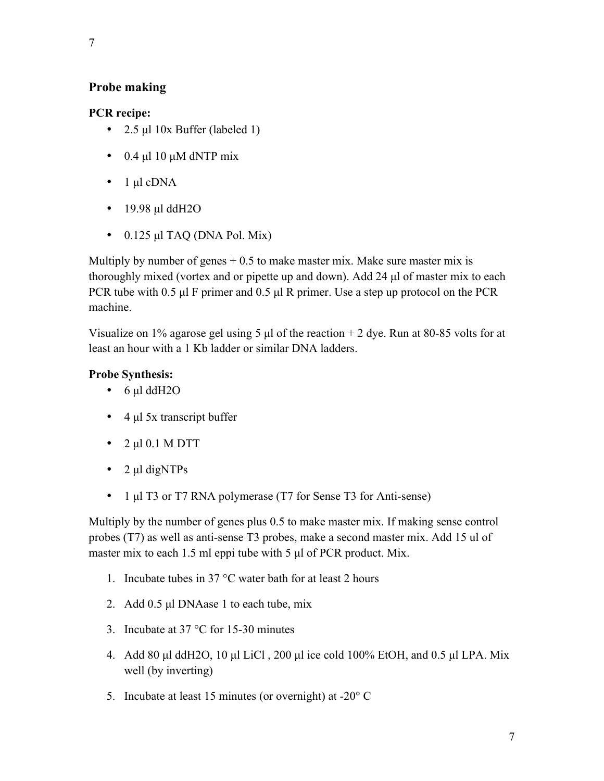### **Probe making**

### **PCR recipe:**

- 2.5 µl 10x Buffer (labeled 1)
- 0.4  $\mu$ l 10  $\mu$ M dNTP mix
- $\bullet$  1 µl cDNA
- 19.98 µl ddH2O
- $\bullet$  0.125 µl TAQ (DNA Pol. Mix)

Multiply by number of genes  $+0.5$  to make master mix. Make sure master mix is thoroughly mixed (vortex and or pipette up and down). Add 24 µl of master mix to each PCR tube with 0.5 µl F primer and 0.5 µl R primer. Use a step up protocol on the PCR machine.

Visualize on 1% agarose gel using 5  $\mu$ l of the reaction + 2 dye. Run at 80-85 volts for at least an hour with a 1 Kb ladder or similar DNA ladders.

# **Probe Synthesis:**

- 6 µl ddH2O
- $\cdot$  4 µl 5x transcript buffer
- $2 \mu 10.1 \text{ M DTT}$
- 2 µl digNTPs
- 1 µl T3 or T7 RNA polymerase (T7 for Sense T3 for Anti-sense)

Multiply by the number of genes plus 0.5 to make master mix. If making sense control probes (T7) as well as anti-sense T3 probes, make a second master mix. Add 15 ul of master mix to each 1.5 ml eppi tube with 5 µl of PCR product. Mix.

- 1. Incubate tubes in 37 °C water bath for at least 2 hours
- 2. Add 0.5 µl DNAase 1 to each tube, mix
- 3. Incubate at 37 °C for 15-30 minutes
- 4. Add 80 µl ddH2O, 10 µl LiCl , 200 µl ice cold 100% EtOH, and 0.5 µl LPA. Mix well (by inverting)
- 5. Incubate at least 15 minutes (or overnight) at -20° C

7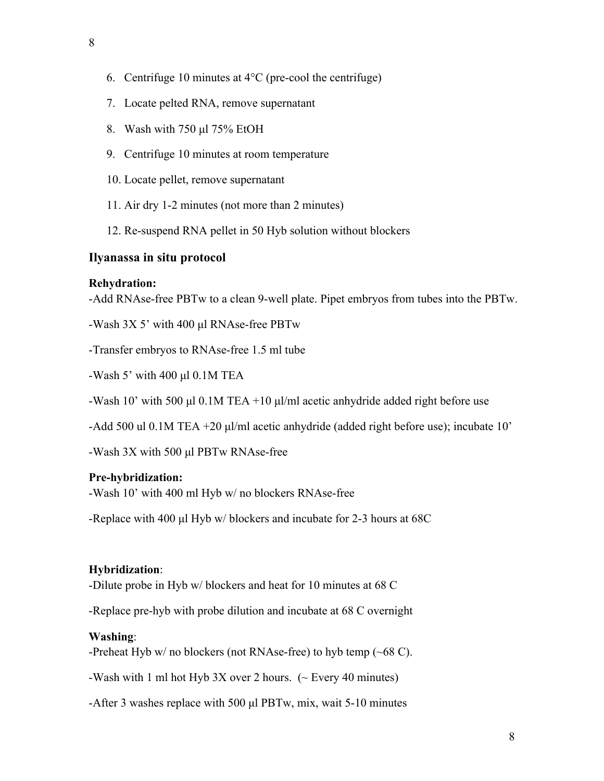- 6. Centrifuge 10 minutes at  $4^{\circ}$ C (pre-cool the centrifuge)
- 7. Locate pelted RNA, remove supernatant
- 8. Wash with 750 µl 75% EtOH
- 9. Centrifuge 10 minutes at room temperature
- 10. Locate pellet, remove supernatant
- 11. Air dry 1-2 minutes (not more than 2 minutes)
- 12. Re-suspend RNA pellet in 50 Hyb solution without blockers

### **Ilyanassa in situ protocol**

#### **Rehydration:**

-Add RNAse-free PBTw to a clean 9-well plate. Pipet embryos from tubes into the PBTw.

-Wash 3X 5' with 400 µl RNAse-free PBTw

-Transfer embryos to RNAse-free 1.5 ml tube

-Wash 5' with 400  $\mu$ l 0.1M TEA

-Wash 10' with 500 µl 0.1M TEA +10 µl/ml acetic anhydride added right before use

-Add 500 ul 0.1M TEA +20 µl/ml acetic anhydride (added right before use); incubate 10'

-Wash 3X with 500 µl PBTw RNAse-free

### **Pre-hybridization:**

-Wash 10' with 400 ml Hyb w/ no blockers RNAse-free

-Replace with 400 µl Hyb w/ blockers and incubate for 2-3 hours at 68C

### **Hybridization**:

-Dilute probe in Hyb w/ blockers and heat for 10 minutes at 68 C

-Replace pre-hyb with probe dilution and incubate at 68 C overnight

### **Washing**:

-Preheat Hyb  $w/$  no blockers (not RNAse-free) to hyb temp ( $\sim 68$  C).

-Wash with 1 ml hot Hyb 3X over 2 hours.  $({\sim}$  Every 40 minutes)

-After 3 washes replace with 500 µl PBTw, mix, wait 5-10 minutes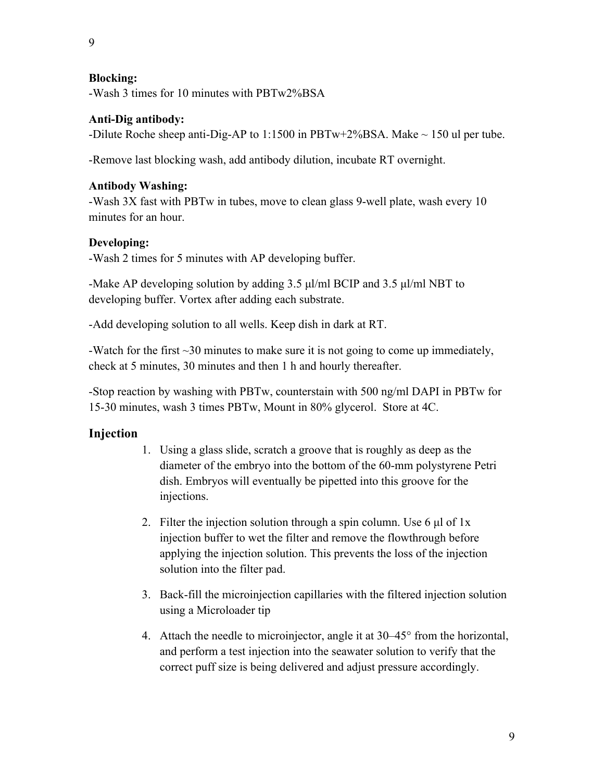9

#### **Blocking:**

-Wash 3 times for 10 minutes with PBTw2%BSA

#### **Anti-Dig antibody:**

-Dilute Roche sheep anti-Dig-AP to 1:1500 in PBTw+2%BSA. Make  $\sim$  150 ul per tube.

-Remove last blocking wash, add antibody dilution, incubate RT overnight.

#### **Antibody Washing:**

-Wash 3X fast with PBTw in tubes, move to clean glass 9-well plate, wash every 10 minutes for an hour.

### **Developing:**

-Wash 2 times for 5 minutes with AP developing buffer.

-Make AP developing solution by adding  $3.5 \mu$ /ml BCIP and  $3.5 \mu$ /ml NBT to developing buffer. Vortex after adding each substrate.

-Add developing solution to all wells. Keep dish in dark at RT.

-Watch for the first  $\sim$ 30 minutes to make sure it is not going to come up immediately, check at 5 minutes, 30 minutes and then 1 h and hourly thereafter.

-Stop reaction by washing with PBTw, counterstain with 500 ng/ml DAPI in PBTw for 15-30 minutes, wash 3 times PBTw, Mount in 80% glycerol. Store at 4C.

# **Injection**

- 1. Using a glass slide, scratch a groove that is roughly as deep as the diameter of the embryo into the bottom of the 60-mm polystyrene Petri dish. Embryos will eventually be pipetted into this groove for the injections.
- 2. Filter the injection solution through a spin column. Use  $6 \mu l$  of 1x injection buffer to wet the filter and remove the flowthrough before applying the injection solution. This prevents the loss of the injection solution into the filter pad.
- 3. Back-fill the microinjection capillaries with the filtered injection solution using a Microloader tip
- 4. Attach the needle to microinjector, angle it at 30–45° from the horizontal, and perform a test injection into the seawater solution to verify that the correct puff size is being delivered and adjust pressure accordingly.